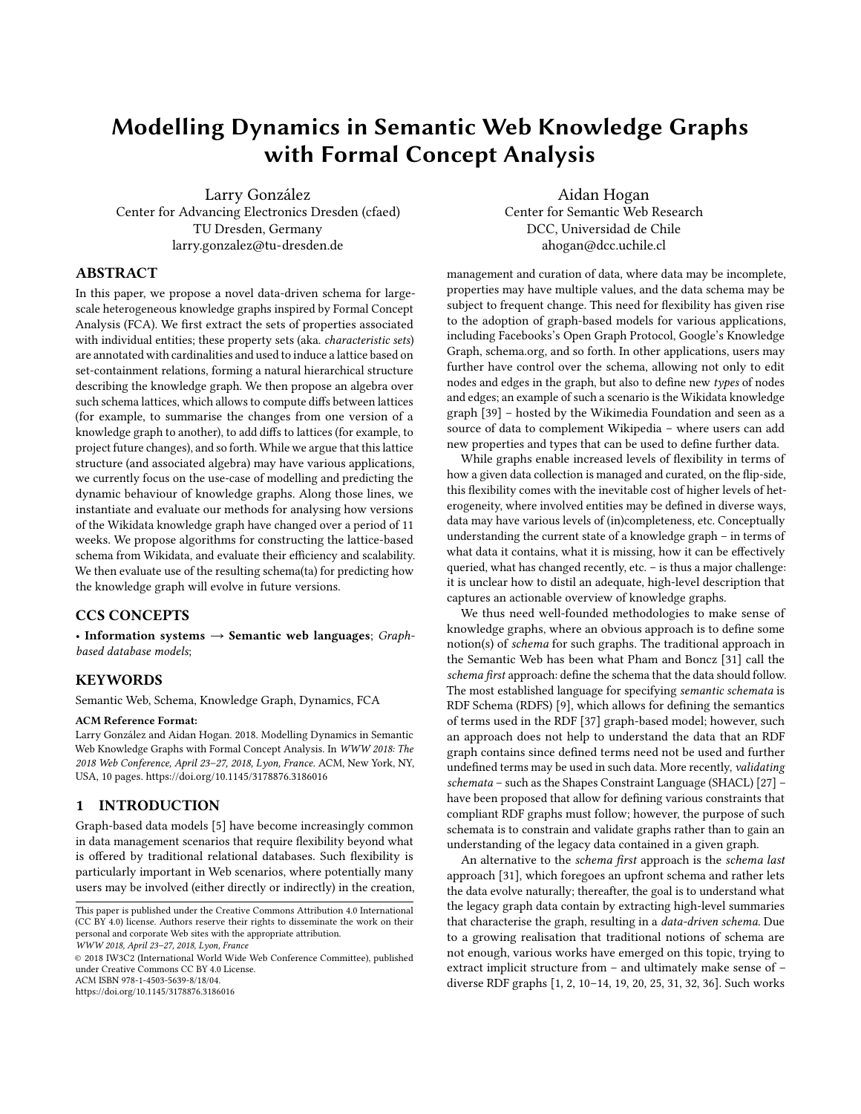# <span id="page-0-0"></span>Modelling Dynamics in Semantic Web Knowledge Graphs with Formal Concept Analysis

Larry González Center for Advancing Electronics Dresden (cfaed) TU Dresden, Germany larry.gonzalez@tu-dresden.de

Aidan Hogan Center for Semantic Web Research DCC, Universidad de Chile ahogan@dcc.uchile.cl

# ABSTRACT

In this paper, we propose a novel data-driven schema for largescale heterogeneous knowledge graphs inspired by Formal Concept Analysis (FCA). We first extract the sets of properties associated with individual entities; these property sets (aka. characteristic sets) are annotated with cardinalities and used to induce a lattice based on set-containment relations, forming a natural hierarchical structure describing the knowledge graph. We then propose an algebra over such schema lattices, which allows to compute diffs between lattices (for example, to summarise the changes from one version of a knowledge graph to another), to add diffs to lattices (for example, to project future changes), and so forth. While we argue that this lattice structure (and associated algebra) may have various applications, we currently focus on the use-case of modelling and predicting the dynamic behaviour of knowledge graphs. Along those lines, we instantiate and evaluate our methods for analysing how versions of the Wikidata knowledge graph have changed over a period of 11 weeks. We propose algorithms for constructing the lattice-based schema from Wikidata, and evaluate their efficiency and scalability. We then evaluate use of the resulting schema(ta) for predicting how the knowledge graph will evolve in future versions.

# CCS CONCEPTS

• Information systems  $\rightarrow$  Semantic web languages; Graphbased database models;

# **KEYWORDS**

Semantic Web, Schema, Knowledge Graph, Dynamics, FCA

#### ACM Reference Format:

Larry González and Aidan Hogan. 2018. Modelling Dynamics in Semantic Web Knowledge Graphs with Formal Concept Analysis. In WWW 2018: The 2018 Web Conference, April 23–27, 2018, Lyon, France. ACM, New York, NY, USA, [10](#page-9-0) pages.<https://doi.org/10.1145/3178876.3186016>

# 1 INTRODUCTION

Graph-based data models [\[5\]](#page-9-1) have become increasingly common in data management scenarios that require flexibility beyond what is offered by traditional relational databases. Such flexibility is particularly important in Web scenarios, where potentially many users may be involved (either directly or indirectly) in the creation,

WWW 2018, April 23–27, 2018, Lyon, France

© 2018 IW3C2 (International World Wide Web Conference Committee), published under Creative Commons CC BY 4.0 License. ACM ISBN 978-1-4503-5639-8/18/04.

<https://doi.org/10.1145/3178876.3186016>

management and curation of data, where data may be incomplete, properties may have multiple values, and the data schema may be subject to frequent change. This need for flexibility has given rise to the adoption of graph-based models for various applications, including Facebooks's Open Graph Protocol, Google's Knowledge Graph, schema.org, and so forth. In other applications, users may further have control over the schema, allowing not only to edit nodes and edges in the graph, but also to define new types of nodes and edges; an example of such a scenario is the Wikidata knowledge graph [\[39\]](#page-9-2) – hosted by the Wikimedia Foundation and seen as a source of data to complement Wikipedia – where users can add new properties and types that can be used to define further data.

While graphs enable increased levels of flexibility in terms of how a given data collection is managed and curated, on the flip-side, this flexibility comes with the inevitable cost of higher levels of heterogeneity, where involved entities may be defined in diverse ways, data may have various levels of (in)completeness, etc. Conceptually understanding the current state of a knowledge graph – in terms of what data it contains, what it is missing, how it can be effectively queried, what has changed recently, etc. – is thus a major challenge: it is unclear how to distil an adequate, high-level description that captures an actionable overview of knowledge graphs.

We thus need well-founded methodologies to make sense of knowledge graphs, where an obvious approach is to define some notion(s) of schema for such graphs. The traditional approach in the Semantic Web has been what [Pham and Boncz](#page-9-3) [\[31\]](#page-9-3) call the schema first approach: define the schema that the data should follow. The most established language for specifying semantic schemata is RDF Schema (RDFS) [\[9\]](#page-9-4), which allows for defining the semantics of terms used in the RDF [\[37\]](#page-9-5) graph-based model; however, such an approach does not help to understand the data that an RDF graph contains since defined terms need not be used and further undefined terms may be used in such data. More recently, validating schemata – such as the Shapes Constraint Language (SHACL) [\[27\]](#page-9-6) – have been proposed that allow for defining various constraints that compliant RDF graphs must follow; however, the purpose of such schemata is to constrain and validate graphs rather than to gain an understanding of the legacy data contained in a given graph.

An alternative to the schema first approach is the schema last approach [\[31\]](#page-9-3), which foregoes an upfront schema and rather lets the data evolve naturally; thereafter, the goal is to understand what the legacy graph data contain by extracting high-level summaries that characterise the graph, resulting in a *data-driven schema*. Due to a growing realisation that traditional notions of schema are not enough, various works have emerged on this topic, trying to extract implicit structure from – and ultimately make sense of – diverse RDF graphs [\[1,](#page-9-7) [2,](#page-9-8) [10–](#page-9-9)[14,](#page-9-10) [19,](#page-9-11) [20,](#page-9-12) [25,](#page-9-13) [31,](#page-9-3) [32,](#page-9-14) [36\]](#page-9-15). Such works

This paper is published under the Creative Commons Attribution 4.0 International  $(CC$   $BY$  $4.0$ ) license. Authors reserve their rights to disseminate the work on their personal and corporate Web sites with the appropriate attribution.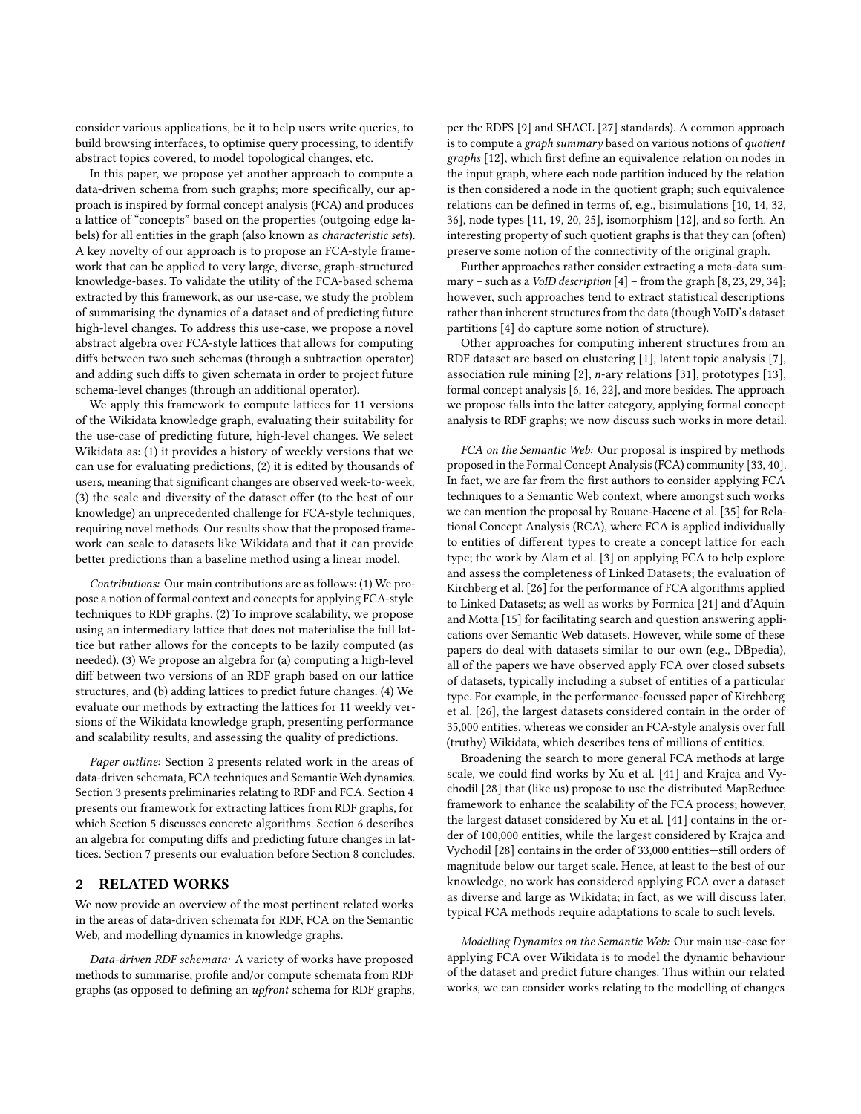consider various applications, be it to help users write queries, to build browsing interfaces, to optimise query processing, to identify abstract topics covered, to model topological changes, etc.

In this paper, we propose yet another approach to compute a data-driven schema from such graphs; more specifically, our approach is inspired by formal concept analysis (FCA) and produces a lattice of "concepts" based on the properties (outgoing edge labels) for all entities in the graph (also known as characteristic sets). A key novelty of our approach is to propose an FCA-style framework that can be applied to very large, diverse, graph-structured knowledge-bases. To validate the utility of the FCA-based schema extracted by this framework, as our use-case, we study the problem of summarising the dynamics of a dataset and of predicting future high-level changes. To address this use-case, we propose a novel abstract algebra over FCA-style lattices that allows for computing diffs between two such schemas (through a subtraction operator) and adding such diffs to given schemata in order to project future schema-level changes (through an additional operator).

We apply this framework to compute lattices for 11 versions of the Wikidata knowledge graph, evaluating their suitability for the use-case of predicting future, high-level changes. We select Wikidata as: (1) it provides a history of weekly versions that we can use for evaluating predictions, (2) it is edited by thousands of users, meaning that significant changes are observed week-to-week, (3) the scale and diversity of the dataset offer (to the best of our knowledge) an unprecedented challenge for FCA-style techniques, requiring novel methods. Our results show that the proposed framework can scale to datasets like Wikidata and that it can provide better predictions than a baseline method using a linear model.

Contributions: Our main contributions are as follows: (1) We propose a notion of formal context and concepts for applying FCA-style techniques to RDF graphs. (2) To improve scalability, we propose using an intermediary lattice that does not materialise the full lattice but rather allows for the concepts to be lazily computed (as needed). (3) We propose an algebra for (a) computing a high-level diff between two versions of an RDF graph based on our lattice structures, and (b) adding lattices to predict future changes. (4) We evaluate our methods by extracting the lattices for 11 weekly versions of the Wikidata knowledge graph, presenting performance and scalability results, and assessing the quality of predictions.

Paper outline: Section [2](#page-1-0) presents related work in the areas of data-driven schemata, FCA techniques and Semantic Web dynamics. Section [3](#page-2-0) presents preliminaries relating to RDF and FCA. Section [4](#page-2-1) presents our framework for extracting lattices from RDF graphs, for which Section [5](#page-4-0) discusses concrete algorithms. Section [6](#page-6-0) describes an algebra for computing diffs and predicting future changes in lattices. Section [7](#page-7-0) presents our evaluation before Section [8](#page-8-0) concludes.

# <span id="page-1-0"></span>2 RELATED WORKS

We now provide an overview of the most pertinent related works in the areas of data-driven schemata for RDF, FCA on the Semantic Web, and modelling dynamics in knowledge graphs.

Data-driven RDF schemata: A variety of works have proposed methods to summarise, profile and/or compute schemata from RDF graphs (as opposed to defining an upfront schema for RDF graphs, per the RDFS [\[9\]](#page-9-4) and SHACL [\[27\]](#page-9-6) standards). A common approach is to compute a graph summary based on various notions of quotient graphs [\[12\]](#page-9-16), which first define an equivalence relation on nodes in the input graph, where each node partition induced by the relation is then considered a node in the quotient graph; such equivalence relations can be defined in terms of, e.g., bisimulations [\[10,](#page-9-9) [14,](#page-9-10) [32,](#page-9-14) [36\]](#page-9-15), node types [\[11,](#page-9-17) [19,](#page-9-11) [20,](#page-9-12) [25\]](#page-9-13), isomorphism [\[12\]](#page-9-16), and so forth. An interesting property of such quotient graphs is that they can (often) preserve some notion of the connectivity of the original graph.

Further approaches rather consider extracting a meta-data summary – such as a *VoID description*  $[4]$  – from the graph  $[8, 23, 29, 34]$  $[8, 23, 29, 34]$  $[8, 23, 29, 34]$  $[8, 23, 29, 34]$  $[8, 23, 29, 34]$  $[8, 23, 29, 34]$  $[8, 23, 29, 34]$ ; however, such approaches tend to extract statistical descriptions rather than inherent structures from the data (though VoID's dataset partitions [\[4\]](#page-9-18) do capture some notion of structure).

Other approaches for computing inherent structures from an RDF dataset are based on clustering [\[1\]](#page-9-7), latent topic analysis [\[7\]](#page-9-23), association rule mining  $[2]$ , *n*-ary relations  $[31]$ , prototypes  $[13]$ , formal concept analysis [\[6,](#page-9-25) [16,](#page-9-26) [22\]](#page-9-27), and more besides. The approach we propose falls into the latter category, applying formal concept analysis to RDF graphs; we now discuss such works in more detail.

FCA on the Semantic Web: Our proposal is inspired by methods proposed in the Formal Concept Analysis (FCA) community [\[33,](#page-9-28) [40\]](#page-9-29). In fact, we are far from the first authors to consider applying FCA techniques to a Semantic Web context, where amongst such works we can mention the proposal by [Rouane-Hacene et al.](#page-9-30) [\[35\]](#page-9-30) for Relational Concept Analysis (RCA), where FCA is applied individually to entities of different types to create a concept lattice for each type; the work by [Alam et al.](#page-9-31) [\[3\]](#page-9-31) on applying FCA to help explore and assess the completeness of Linked Datasets; the evaluation of [Kirchberg et al.](#page-9-32) [\[26\]](#page-9-32) for the performance of FCA algorithms applied to Linked Datasets; as well as works by [Formica](#page-9-33) [\[21\]](#page-9-33) and [d'Aquin](#page-9-34) [and Motta](#page-9-34) [\[15\]](#page-9-34) for facilitating search and question answering applications over Semantic Web datasets. However, while some of these papers do deal with datasets similar to our own (e.g., DBpedia), all of the papers we have observed apply FCA over closed subsets of datasets, typically including a subset of entities of a particular type. For example, in the performance-focussed paper of [Kirchberg](#page-9-32) [et al.](#page-9-32) [\[26\]](#page-9-32), the largest datasets considered contain in the order of 35,000 entities, whereas we consider an FCA-style analysis over full (truthy) Wikidata, which describes tens of millions of entities.

Broadening the search to more general FCA methods at large scale, we could find works by [Xu et al.](#page-9-35) [\[41\]](#page-9-35) and [Krajca and Vy](#page-9-36)[chodil](#page-9-36) [\[28\]](#page-9-36) that (like us) propose to use the distributed MapReduce framework to enhance the scalability of the FCA process; however, the largest dataset considered by [Xu et al.](#page-9-35) [\[41\]](#page-9-35) contains in the order of 100,000 entities, while the largest considered by [Krajca and](#page-9-36) [Vychodil](#page-9-36) [\[28\]](#page-9-36) contains in the order of 33,000 entities—still orders of magnitude below our target scale. Hence, at least to the best of our knowledge, no work has considered applying FCA over a dataset as diverse and large as Wikidata; in fact, as we will discuss later, typical FCA methods require adaptations to scale to such levels.

Modelling Dynamics on the Semantic Web: Our main use-case for applying FCA over Wikidata is to model the dynamic behaviour of the dataset and predict future changes. Thus within our related works, we can consider works relating to the modelling of changes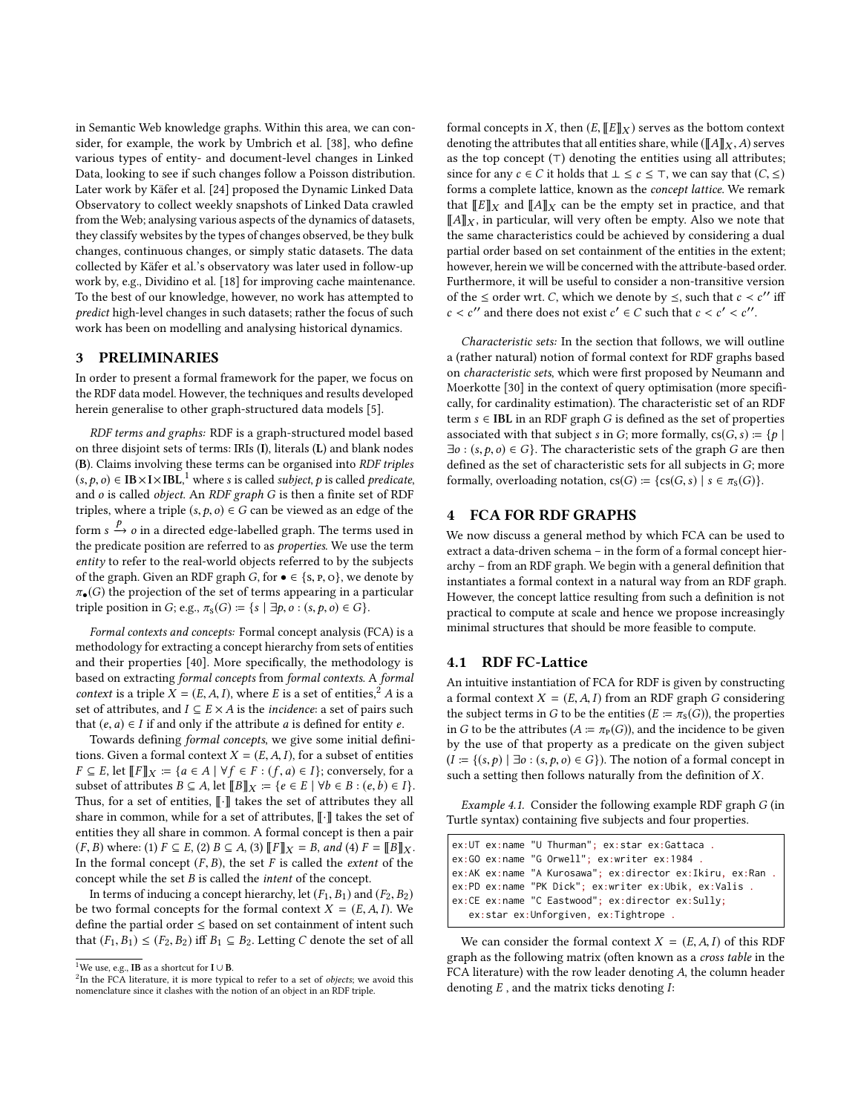in Semantic Web knowledge graphs. Within this area, we can consider, for example, the work by [Umbrich et al.](#page-9-37) [\[38\]](#page-9-37), who define various types of entity- and document-level changes in Linked Data, looking to see if such changes follow a Poisson distribution. Later work by [Käfer et al.](#page-9-38) [\[24\]](#page-9-38) proposed the Dynamic Linked Data Observatory to collect weekly snapshots of Linked Data crawled from the Web; analysing various aspects of the dynamics of datasets, they classify websites by the types of changes observed, be they bulk changes, continuous changes, or simply static datasets. The data collected by [Käfer et al.'](#page-9-38)s observatory was later used in follow-up work by, e.g., [Dividino et al.](#page-9-39) [\[18\]](#page-9-39) for improving cache maintenance. To the best of our knowledge, however, no work has attempted to predict high-level changes in such datasets; rather the focus of such work has been on modelling and analysing historical dynamics.

# <span id="page-2-0"></span>3 PRELIMINARIES

In order to present a formal framework for the paper, we focus on the RDF data model. However, the techniques and results developed herein generalise to other graph-structured data models [\[5\]](#page-9-1).

RDF terms and graphs: RDF is a graph-structured model based on three disjoint sets of terms: IRIs (I), literals (L) and blank nodes (B). Claims involving these terms can be organised into RDF triples  $(s, p, o) \in IB \times I \times IBL$ , where s is called *subject*, p is called *predicate*, and a is called *object*, An *BDE* graph *G* is then a finite set of BDE and o is called object. An RDF graph G is then a finite set of RDF triples, where a triple  $(s, p, o) \in G$  can be viewed as an edge of the form  $s \xrightarrow{p} o$  in a directed edge-labelled graph. The terms used in the predicate position are referred to as *properties*. We use the term the predicate position are referred to as properties. We use the term entity to refer to the real-world objects referred to by the subjects of the graph. Given an RDF graph G, for  $\bullet \in \{s, p, o\}$ , we denote by  $\pi_{\bullet}(G)$  the projection of the set of terms appearing in a particular triple position in G; e.g.,  $\pi_S(G) := \{ s \mid \exists p, o : (s, p, o) \in G \}.$ 

Formal contexts and concepts: Formal concept analysis (FCA) is a methodology for extracting a concept hierarchy from sets of entities and their properties [\[40\]](#page-9-29). More specifically, the methodology is based on extracting formal concepts from formal contexts. A formal context is a triple  $X = (E, A, I)$ , where E is a set of entities,<sup>[2](#page-0-0)</sup> A is a set of attributes, and  $I \subseteq E \times A$  is the *incidence*: a set of pairs such that  $(e, a) \in I$  if and only if the attribute a is defined for entity e.

Towards defining formal concepts, we give some initial definitions. Given a formal context  $X = (E, A, I)$ , for a subset of entities  $F \subseteq E$ , let  $[[F]]_X = \{a \in A \mid \forall f \in F : (f, a) \in I\}$ ; conversely, for a subset of attributes  $B \subseteq A$ , let  $[[B]]_X := \{e \in E \mid \forall b \in B : (e, b) \in I\}.$ Thus, for a set of entities,  $\lbrack \cdot \rbrack$  takes the set of attributes they all share in common, while for a set of attributes,  $\llbracket \cdot \rrbracket$  takes the set of entities they all share in common. A formal concept is then a pair  $(F, B)$  where: (1)  $F \subseteq E$ , (2)  $B \subseteq A$ , (3)  $\llbracket F \rrbracket_X = B$ , and (4)  $F = \llbracket B \rrbracket_X$ . In the formal concept  $(F, B)$ , the set F is called the *extent* of the concept while the set B is called the intent of the concept.

In terms of inducing a concept hierarchy, let  $(F_1, B_1)$  and  $(F_2, B_2)$ be two formal concepts for the formal context  $X = (E, A, I)$ . We define the partial order  $\leq$  based on set containment of intent such that  $(F_1, B_1) \leq (F_2, B_2)$  iff  $B_1 \subseteq B_2$ . Letting C denote the set of all formal concepts in X, then  $(E, \llbracket E \rrbracket_X)$  serves as the bottom context denoting the attributes that all entities share, while ( $\llbracket A \rrbracket_X$ , A) serves as the top concept (⊤) denoting the entities using all attributes; since for any  $c \in C$  it holds that  $\bot \leq c \leq \top$ , we can say that  $(C, \leq)$ forms a complete lattice, known as the concept lattice. We remark that  $\llbracket E \rrbracket_X$  and  $\llbracket A \rrbracket_X$  can be the empty set in practice, and that  $[[A]]_X$ , in particular, will very often be empty. Also we note that the same characteristics could be achieved by considering a dual partial order based on set containment of the entities in the extent; however, herein we will be concerned with the attribute-based order. Furthermore, it will be useful to consider a non-transitive version of the ≤ order wrt. C, which we denote by ≤, such that  $c < c''$  iff  $c < c''$  and there does not exist  $c' \in C$  such that  $c < c' < c''$  $\prime\prime$  and there does not exist  $c' \in C$  such that  $c < c' < c''$ .

Characteristic sets: In the section that follows, we will outline a (rather natural) notion of formal context for RDF graphs based on characteristic sets, which were first proposed by [Neumann and](#page-9-40) [Moerkotte](#page-9-40) [\[30\]](#page-9-40) in the context of query optimisation (more specifically, for cardinality estimation). The characteristic set of an RDF term  $s \in$  **IBL** in an RDF graph G is defined as the set of properties associated with that subject s in G; more formally,  $cs(G, s) = \{p \mid s \}$  $\exists o : (s, p, o) \in G$ . The characteristic sets of the graph G are then defined as the set of characteristic sets for all subjects in G; more formally, overloading notation,  $cs(G) = \{cs(G, s) | s \in \pi_s(G)\}.$ 

# <span id="page-2-1"></span>4 FCA FOR RDF GRAPHS

We now discuss a general method by which FCA can be used to extract a data-driven schema – in the form of a formal concept hierarchy – from an RDF graph. We begin with a general definition that instantiates a formal context in a natural way from an RDF graph. However, the concept lattice resulting from such a definition is not practical to compute at scale and hence we propose increasingly minimal structures that should be more feasible to compute.

# 4.1 RDF FC-Lattice

An intuitive instantiation of FCA for RDF is given by constructing a formal context  $X = (E, A, I)$  from an RDF graph G considering the subject terms in G to be the entities ( $E := \pi_S(G)$ ), the properties in G to be the attributes ( $A := \pi_P(G)$ ), and the incidence to be given by the use of that property as a predicate on the given subject (I := {(s, p) | ∃o : (s, p, o) ∈ G}). The notion of a formal concept in such a setting then follows naturally from the definition of X.

<span id="page-2-2"></span>Example 4.1. Consider the following example RDF graph G (in Turtle syntax) containing five subjects and four properties.

|                                      | ex:UT ex:name "U Thurman"; ex:star ex:Gattaca.              |  |  |  |
|--------------------------------------|-------------------------------------------------------------|--|--|--|
|                                      | $ex:GO ex:name "G Orwell"; ex:writer ex:1984.$              |  |  |  |
|                                      | 'ex:AK ex:name "A Kurosawa"; ex:director ex:Ikiru, ex:Ran . |  |  |  |
|                                      | ex:PD ex:name "PK Dick"; ex:writer ex:Ubik, ex:Valis.       |  |  |  |
|                                      | ex: CE ex: name "C Eastwood"; ex: director ex: Sully;       |  |  |  |
| ex:star ex:Unforgiven, ex:Tightrope. |                                                             |  |  |  |

We can consider the formal context  $X = (E, A, I)$  of this RDF graph as the following matrix (often known as a cross table in the FCA literature) with the row leader denoting A, the column header denoting  $E$ , and the matrix ticks denoting  $I$ :

 $^1\rm{We}$  use, e.g., IB as a shortcut for  $\rm{I}\cup\rm{B}.$ 

 ${}^{2}$ In the FCA literature, it is more typical to refer to a set of *objects*; we avoid this nomenclature since it clashes with the notion of an object in an RDF triple.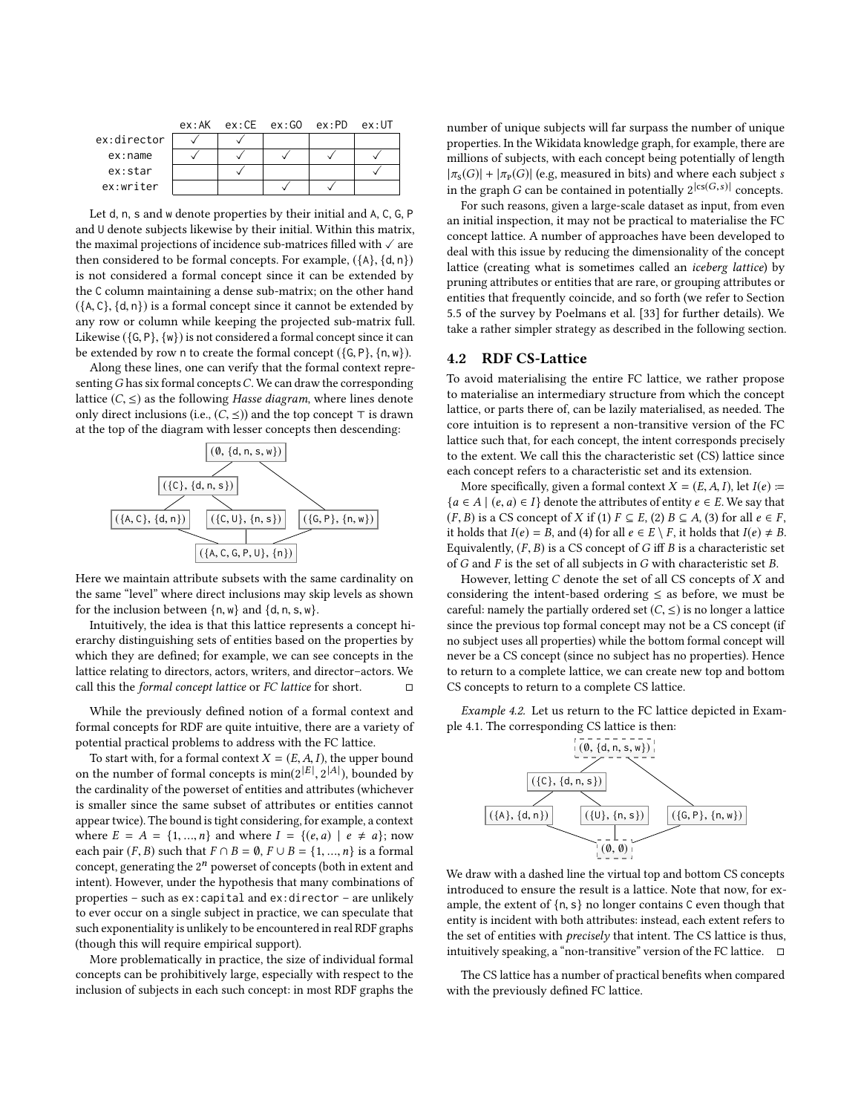|             |  | ex:AK ex:CE ex:GO ex:PD ex:UT |  |
|-------------|--|-------------------------------|--|
| ex:director |  |                               |  |
| ex:name     |  |                               |  |
| ex:star     |  |                               |  |
| ex:writer   |  |                               |  |

Let d, n, s and w denote properties by their initial and A, C, G, P and U denote subjects likewise by their initial. Within this matrix, the maximal projections of incidence sub-matrices filled with  $\checkmark$  are then considered to be formal concepts. For example,  $({A}, {d}, n)$ is not considered a formal concept since it can be extended by the C column maintaining a dense sub-matrix; on the other hand  $({A, C}, {d, n})$  is a formal concept since it cannot be extended by any row or column while keeping the projected sub-matrix full. Likewise  $({G, P}, \{w\})$  is not considered a formal concept since it can be extended by row n to create the formal concept  $({G, P}, {n, w})$ .

Along these lines, one can verify that the formal context representing  $G$  has six formal concepts  $C$ . We can draw the corresponding lattice  $(C, \leq)$  as the following Hasse diagram, where lines denote only direct inclusions (i.e.,  $(C, \leq)$ ) and the top concept ⊤ is drawn at the top of the diagram with lesser concepts then descending:



Here we maintain attribute subsets with the same cardinality on the same "level" where direct inclusions may skip levels as shown for the inclusion between  $\{n, w\}$  and  $\{d, n, s, w\}$ .

Intuitively, the idea is that this lattice represents a concept hierarchy distinguishing sets of entities based on the properties by which they are defined; for example, we can see concepts in the lattice relating to directors, actors, writers, and director–actors. We call this the *formal concept lattice* or  $FC$  *lattice* for short.

While the previously defined notion of a formal context and formal concepts for RDF are quite intuitive, there are a variety of potential practical problems to address with the FC lattice.

To start with, for a formal context  $X = (E, A, I)$ , the upper bound on the number of formal concepts is  $min(2^{|E|}, 2^{|A|})$ , bounded by<br>the cardinality of the powerset of entities and attributes (whichever the cardinality of the powerset of entities and attributes (whichever is smaller since the same subset of attributes or entities cannot appear twice). The bound is tight considering, for example, a context where  $E = A = \{1, ..., n\}$  and where  $I = \{(e, a) | e \neq a\}$ ; now each pair  $(F, B)$  such that  $F \cap B = \emptyset$ ,  $F \cup B = \{1, ..., n\}$  is a formal concept, generating the  $2^n$  powerset of concepts (both in extent and intent). However, under the hypothesis that many combinations of properties – such as ex:capital and ex:director – are unlikely to ever occur on a single subject in practice, we can speculate that such exponentiality is unlikely to be encountered in real RDF graphs (though this will require empirical support).

More problematically in practice, the size of individual formal concepts can be prohibitively large, especially with respect to the inclusion of subjects in each such concept: in most RDF graphs the number of unique subjects will far surpass the number of unique properties. In the Wikidata knowledge graph, for example, there are millions of subjects, with each concept being potentially of length  $|\pi_{s}(G)| + |\pi_{p}(G)|$  (e.g, measured in bits) and where each subject s in the graph G can be contained in potentially  $2^{\lfloor cs(G,s)\rfloor}$  concepts.<br>For such reasons, given a large-scale dataset as input, from even

For such reasons, given a large-scale dataset as input, from even an initial inspection, it may not be practical to materialise the FC concept lattice. A number of approaches have been developed to deal with this issue by reducing the dimensionality of the concept lattice (creating what is sometimes called an iceberg lattice) by pruning attributes or entities that are rare, or grouping attributes or entities that frequently coincide, and so forth (we refer to Section 5.5 of the survey by [Poelmans et al.](#page-9-28) [\[33\]](#page-9-28) for further details). We take a rather simpler strategy as described in the following section.

#### 4.2 RDF CS-Lattice

To avoid materialising the entire FC lattice, we rather propose to materialise an intermediary structure from which the concept lattice, or parts there of, can be lazily materialised, as needed. The core intuition is to represent a non-transitive version of the FC lattice such that, for each concept, the intent corresponds precisely to the extent. We call this the characteristic set (CS) lattice since each concept refers to a characteristic set and its extension.

More specifically, given a formal context  $X = (E, A, I)$ , let  $I(e) =$ { $a \in A \mid (e, a) \in I$ } denote the attributes of entity  $e \in E$ . We say that  $(F, B)$  is a CS concept of X if (1)  $F \subseteq E$ , (2)  $B \subseteq A$ , (3) for all  $e \in F$ , it holds that  $I(e) = B$ , and (4) for all  $e \in E \setminus F$ , it holds that  $I(e) \neq B$ . Equivalently,  $(F, B)$  is a CS concept of G iff B is a characteristic set of  $G$  and  $F$  is the set of all subjects in  $G$  with characteristic set  $B$ .

However, letting  $C$  denote the set of all CS concepts of  $X$  and considering the intent-based ordering  $\leq$  as before, we must be careful: namely the partially ordered set  $(C, \leq)$  is no longer a lattice since the previous top formal concept may not be a CS concept (if no subject uses all properties) while the bottom formal concept will never be a CS concept (since no subject has no properties). Hence to return to a complete lattice, we can create new top and bottom CS concepts to return to a complete CS lattice.

<span id="page-3-0"></span>Example 4.2. Let us return to the FC lattice depicted in Example [4.1.](#page-2-2) The corresponding CS lattice is then:



We draw with a dashed line the virtual top and bottom CS concepts introduced to ensure the result is a lattice. Note that now, for example, the extent of {n, <sup>s</sup>} no longer contains <sup>C</sup> even though that entity is incident with both attributes: instead, each extent refers to the set of entities with precisely that intent. The CS lattice is thus, intuitively speaking, a "non-transitive" version of the FC lattice.  $\Box$ 

The CS lattice has a number of practical benefits when compared with the previously defined FC lattice.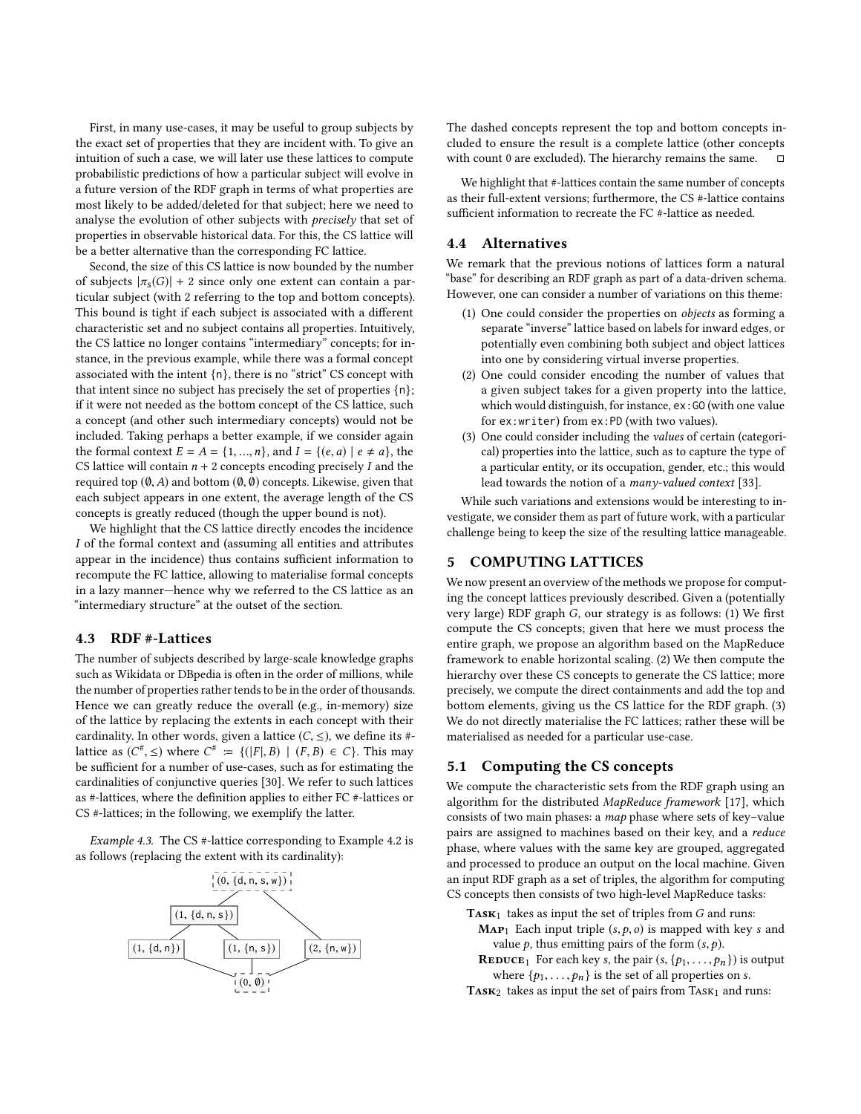First, in many use-cases, it may be useful to group subjects by the exact set of properties that they are incident with. To give an intuition of such a case, we will later use these lattices to compute probabilistic predictions of how a particular subject will evolve in a future version of the RDF graph in terms of what properties are most likely to be added/deleted for that subject; here we need to analyse the evolution of other subjects with precisely that set of properties in observable historical data. For this, the CS lattice will be a better alternative than the corresponding FC lattice.

Second, the size of this CS lattice is now bounded by the number of subjects  $|\pi_{s}(G)| + 2$  since only one extent can contain a particular subject (with 2 referring to the top and bottom concepts). This bound is tight if each subject is associated with a different characteristic set and no subject contains all properties. Intuitively, the CS lattice no longer contains "intermediary" concepts; for instance, in the previous example, while there was a formal concept associated with the intent  $\{n\}$ , there is no "strict" CS concept with that intent since no subject has precisely the set of properties  $\{n\}$ ; if it were not needed as the bottom concept of the CS lattice, such a concept (and other such intermediary concepts) would not be included. Taking perhaps a better example, if we consider again the formal context  $E = A = \{1, ..., n\}$ , and  $I = \{(e, a) | e \neq a\}$ , the CS lattice will contain  $n + 2$  concepts encoding precisely I and the required top  $(\emptyset, A)$  and bottom  $(\emptyset, \emptyset)$  concepts. Likewise, given that each subject appears in one extent, the average length of the CS concepts is greatly reduced (though the upper bound is not).

We highlight that the CS lattice directly encodes the incidence I of the formal context and (assuming all entities and attributes appear in the incidence) thus contains sufficient information to recompute the FC lattice, allowing to materialise formal concepts in a lazy manner—hence why we referred to the CS lattice as an "intermediary structure" at the outset of the section.

#### 4.3 RDF #-Lattices

The number of subjects described by large-scale knowledge graphs such as Wikidata or DBpedia is often in the order of millions, while the number of properties rather tends to be in the order of thousands. Hence we can greatly reduce the overall (e.g., in-memory) size of the lattice by replacing the extents in each concept with their cardinality. In other words, given a lattice  $(C, \leq)$ , we define its #lattice as  $(C^*, \leq)$  where  $C^* := \{([F], B) | (F, B) \in C\}$ . This may be sufficient for a number of use-cases, such as for estimating the be sufficient for a number of use-cases, such as for estimating the cardinalities of conjunctive queries [\[30\]](#page-9-40). We refer to such lattices as #-lattices, where the definition applies to either FC #-lattices or CS #-lattices; in the following, we exemplify the latter.

Example 4.3. The CS #-lattice corresponding to Example [4.2](#page-3-0) is as follows (replacing the extent with its cardinality):



The dashed concepts represent the top and bottom concepts included to ensure the result is a complete lattice (other concepts with count 0 are excluded). The hierarchy remains the same.  $\square$ 

We highlight that #-lattices contain the same number of concepts as their full-extent versions; furthermore, the CS #-lattice contains sufficient information to recreate the FC #-lattice as needed.

#### 4.4 Alternatives

We remark that the previous notions of lattices form a natural "base" for describing an RDF graph as part of a data-driven schema. However, one can consider a number of variations on this theme:

- (1) One could consider the properties on objects as forming a separate "inverse" lattice based on labels for inward edges, or potentially even combining both subject and object lattices into one by considering virtual inverse properties.
- (2) One could consider encoding the number of values that a given subject takes for a given property into the lattice, which would distinguish, for instance, ex:GO (with one value for ex:writer) from ex:PD (with two values).
- (3) One could consider including the values of certain (categorical) properties into the lattice, such as to capture the type of a particular entity, or its occupation, gender, etc.; this would lead towards the notion of a many-valued context [\[33\]](#page-9-28).

While such variations and extensions would be interesting to investigate, we consider them as part of future work, with a particular challenge being to keep the size of the resulting lattice manageable.

# <span id="page-4-0"></span>5 COMPUTING LATTICES

We now present an overview of the methods we propose for computing the concept lattices previously described. Given a (potentially very large) RDF graph G, our strategy is as follows: (1) We first compute the CS concepts; given that here we must process the entire graph, we propose an algorithm based on the MapReduce framework to enable horizontal scaling. (2) We then compute the hierarchy over these CS concepts to generate the CS lattice; more precisely, we compute the direct containments and add the top and bottom elements, giving us the CS lattice for the RDF graph. (3) We do not directly materialise the FC lattices; rather these will be materialised as needed for a particular use-case.

# 5.1 Computing the CS concepts

We compute the characteristic sets from the RDF graph using an algorithm for the distributed MapReduce framework [\[17\]](#page-9-41), which consists of two main phases: a map phase where sets of key-value pairs are assigned to machines based on their key, and a reduce phase, where values with the same key are grouped, aggregated and processed to produce an output on the local machine. Given an input RDF graph as a set of triples, the algorithm for computing CS concepts then consists of two high-level MapReduce tasks:

TASK<sub>1</sub> takes as input the set of triples from  $G$  and runs:

- $\mathbf{MAP}_1$  Each input triple  $(s, p, o)$  is mapped with key s and value  $p$ , thus emitting pairs of the form  $(s, p)$ .
- **REDUCE**<sub>1</sub> For each key s, the pair  $(s, {p_1, \ldots, p_n})$  is output where  $\{p_1, \ldots, p_n\}$  is the set of all properties on s.
- TASK<sub>2</sub> takes as input the set of pairs from TASK<sub>1</sub> and runs: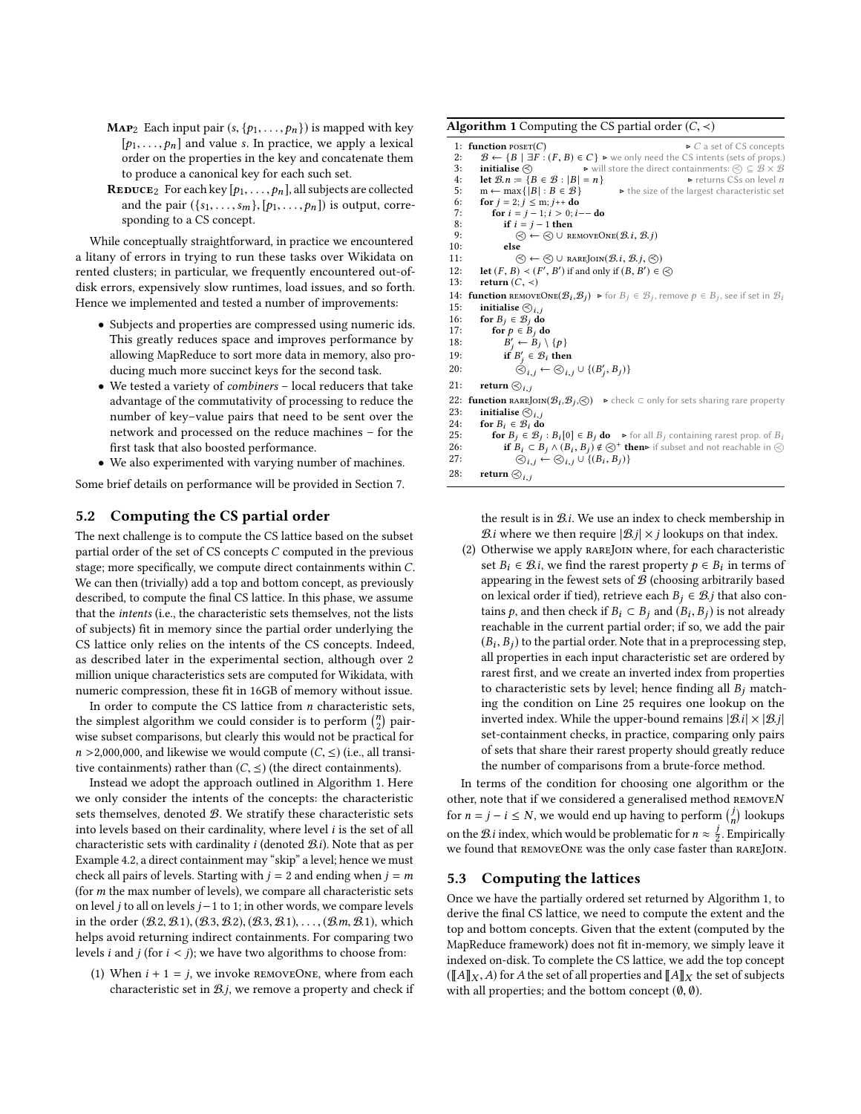- **MAP**<sub>2</sub> Each input pair  $(s, \{p_1, \ldots, p_n\})$  is mapped with key  $[p_1, \ldots, p_n]$  and value s. In practice, we apply a lexical order on the properties in the key and concatenate them to produce a canonical key for each such set.
- **REDUCE**<sub>2</sub> For each key  $[p_1, \ldots, p_n]$ , all subjects are collected and the pair  $({s_1, \ldots, s_m}, [p_1, \ldots, p_n])$  is output, corresponding to a CS concept.

While conceptually straightforward, in practice we encountered a litany of errors in trying to run these tasks over Wikidata on rented clusters; in particular, we frequently encountered out-ofdisk errors, expensively slow runtimes, load issues, and so forth. Hence we implemented and tested a number of improvements:

- Subjects and properties are compressed using numeric ids. This greatly reduces space and improves performance by allowing MapReduce to sort more data in memory, also producing much more succinct keys for the second task.
- We tested a variety of combiners local reducers that take advantage of the commutativity of processing to reduce the number of key–value pairs that need to be sent over the network and processed on the reduce machines – for the first task that also boosted performance.
- We also experimented with varying number of machines.

Some brief details on performance will be provided in Section [7.](#page-7-0)

# 5.2 Computing the CS partial order

The next challenge is to compute the CS lattice based on the subset partial order of the set of CS concepts C computed in the previous stage; more specifically, we compute direct containments within C. We can then (trivially) add a top and bottom concept, as previously described, to compute the final CS lattice. In this phase, we assume that the intents (i.e., the characteristic sets themselves, not the lists of subjects) fit in memory since the partial order underlying the CS lattice only relies on the intents of the CS concepts. Indeed, as described later in the experimental section, although over 2 million unique characteristics sets are computed for Wikidata, with numeric compression, these fit in 16GB of memory without issue.

In order to compute the CS lattice from  $n$  characteristic sets, the simplest algorithm we could consider is to perform  $\binom{n}{2}$  pairwise subset comparisons, but clearly this would not be practical for  $n > 2,000,000$ , and likewise we would compute  $(C, \leq)$  (i.e., all transitive containments) rather than  $(C, \leq)$  (the direct containments).

Instead we adopt the approach outlined in Algorithm [1.](#page-5-0) Here we only consider the intents of the concepts: the characteristic sets themselves, denoted  $B$ . We stratify these characteristic sets into levels based on their cardinality, where level  $i$  is the set of all characteristic sets with cardinality  $i$  (denoted  $B_i$ ). Note that as per Example [4.2,](#page-3-0) a direct containment may "skip" a level; hence we must check all pairs of levels. Starting with  $j = 2$  and ending when  $j = m$ (for  $m$  the max number of levels), we compare all characteristic sets on level j to all on levels j−<sup>1</sup> to 1; in other words, we compare levels in the order  $(B.2, B.1), (B.3, B.2), (B.3, B.1), ..., (B. m, B.1),$  which helps avoid returning indirect containments. For comparing two levels *i* and *j* (for  $i < j$ ); we have two algorithms to choose from:

(1) When  $i + 1 = j$ , we invoke REMOVEONE, where from each characteristic set in  $B$ .j, we remove a property and check if

```
Algorithm 1 Computing the CS partial order (C, \prec)<br>1: function \text{posET}(C) \rightarrow C a set of CS concepts
    1: function poset(C) \triangleright C a set of CS concepts<br>
2: B \leftarrow \{B \mid \exists F : (F, B) \in C\} \triangleright we only need the CS intents (sets of props.)<br>
3: initialise ⊘ \triangleright will stare the direct containments: ⊘ \subset B \times B3: initialise \otimes <br>4: let \mathcal{B} \mathbf{n} = \{ \mathbf{B} \in \mathcal{B} : |\mathbf{B}| = \mathbf{n} \} <br>b returns CSs on level n
   3: initialise \bigotimes b will<br>4: let B \cdot n := \{B \in B : |B| = n\}<br>5: m \leftarrow m \{ |B| : B \in B \}5: \mathbf{m} \leftarrow \max\{|B| : B \in \mathcal{B}\} \triangleright the size of the largest characteristic set<br>
6: \mathbf{for } j = 2; j \le m; j + + \mathbf{do}<br>
7: \mathbf{for } i = j - 1; i > 0; i - - \mathbf{do}for j = 2; j \le m; j^{++} do
   7: for i = j - 1; i > 0; i-- do<br>8: if i = i - 1 then
                             if i = j - 1 then
 9: \textcircled{s} \leftarrow \textcircled{s} \cup \text{removeOne}(\mathcal{B}.i, \mathcal{B}.j)<br>10: else
                              else
11: \bigotimes \leftarrow \bigotimes \cup \text{RAREJON}(\mathcal{B}.i, \mathcal{B}.j, \bigotimes)<br>12: let (F, B) \prec (F', B') if and only if (B, B') \in12: let (F, B) < (F', B') if and only if (B, B') \in \textcircled{}<br>13: return (C, \leq)13: return (C, \prec)<br>14: function REMOVE
  14: function REMOVEONE(\mathcal{B}_i,\mathcal{B}_j) ► for B_j \in \mathcal{B}_j, remove p \in B_j, see if set in \mathcal{B}_i<br>15: initialise \otimes..
 15: initialise \bigotimes_{i,j}<br>16: for B_i \in \mathcal{B}_i do
 16: for B_j \in \mathcal{B}_j do<br>17: for p \in B_i d
                      for p \in B_j do
 18:j \leftarrow B_j \setminus \{p\}19: if B'_i \in \mathcal{B}_i then
  20: \bigotimes_{i,j} \leftarrow \bigotimes_{i,j} \cup \{(B'_j, B_j)\}21: return \otimes_{i,j}<br>22: function RAREJ
  22: function RAREJOIN(\mathcal{B}_i,\mathcal{B}_j,\odot) ► check ⊂ only for sets sharing rare property<br>23. initialise ⊘.
 23: initialise \bigotimes_{i,j}<br>24: for B_i \in \mathcal{B}_i dot
 24: for B_i \in \mathcal{B}_i do<br>25: for B_i \in \mathcal{B}_i25: for B_j \in \mathcal{B}_j: B_i[0] \in B_j do \triangleright for all B_j containing rarest prop. of B_i<br>26: if B_i \subset B_i \wedge (B_i, B_i) d \otimes^+ then if subset and not reachable in \otimes26: if B_i \subset B_j \land (B_i, B_j) \notin \bigotimes^+ \textbf{then} \triangleright if subset and not reachable in \otimes<br>27. \bigotimes_i A_i \subset \bigotimes_i A_i \cup \{(B_i, B_i)\}27: \bigotimes_{i,j} \leftarrow \bigotimes_{i,j} \cup \{(B_i, B_j)\}\
```

```
28: return \otimes_{i,j}
```
the result is in  $B.i.$  We use an index to check membership in *B.i* where we then require  $|\mathcal{B}_{.j}| \times j$  lookups on that index.

(2) Otherwise we apply rareJoin where, for each characteristic set  $B_i \in \mathcal{B}$  i, we find the rarest property  $p \in B_i$  in terms of meaning in the fewest sets of  $\mathcal{B}$  (choosing arbitrarily based appearing in the fewest sets of  $B$  (choosing arbitrarily based on lexical order if tied), retrieve each  $B_i \in \mathcal{B}$  that also contains p, and then check if  $B_i \subset B_j$  and  $(B_i, B_j)$  is not already<br>reachable in the current partial order; if so we add the pair reachable in the current partial order; if so, we add the pair  $(B_i, B_j)$  to the partial order. Note that in a preprocessing step,<br>all properties in each input characteristic set are ordered by all properties in each input characteristic set are ordered by rarest first, and we create an inverted index from properties to characteristic sets by level; hence finding all  $B_j$  matching the condition on Line [25](#page-5-0) requires one lookup on the inverted index. While the upper-bound remains  $|\mathcal{B}.i| \times |\mathcal{B}.j|$ set-containment checks, in practice, comparing only pairs of sets that share their rarest property should greatly reduce the number of comparisons from a brute-force method.

In terms of the condition for choosing one algorithm or the other, note that if we considered a generalised method  $RENOWEN$ for  $n = j - i \le N$ , we would end up having to perform  $\binom{j}{n}$  lookups on the B.i index, which would be problematic for  $n \approx \frac{1}{2}$ . Empirically we found that removeOne was the only case faster than rareJoin.

#### 5.3 Computing the lattices

Once we have the partially ordered set returned by Algorithm [1,](#page-5-0) to derive the final CS lattice, we need to compute the extent and the top and bottom concepts. Given that the extent (computed by the MapReduce framework) does not fit in-memory, we simply leave it indexed on-disk. To complete the CS lattice, we add the top concept  $(\llbracket A \rrbracket_X, A)$  for A the set of all properties and  $\llbracket A \rrbracket_X$  the set of subjects with all properties; and the bottom concept  $(0, 0)$ .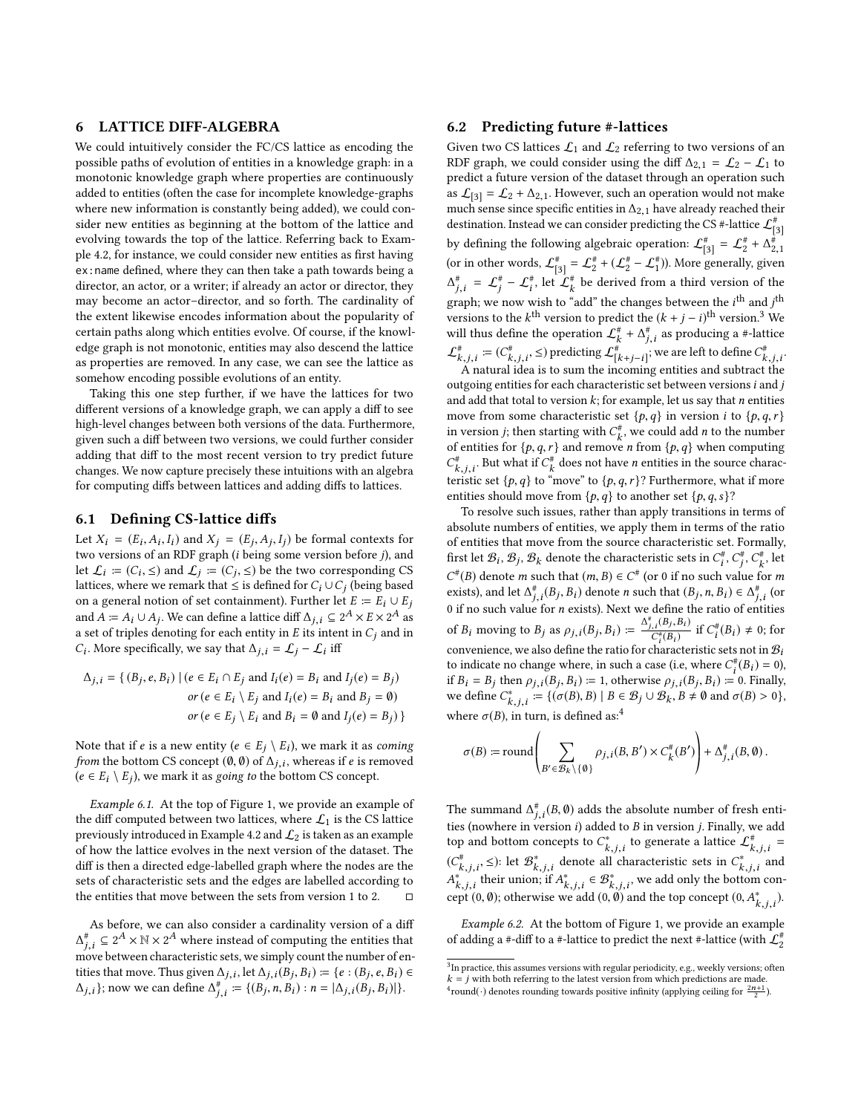# <span id="page-6-0"></span>6 LATTICE DIFF-ALGEBRA

We could intuitively consider the FC/CS lattice as encoding the possible paths of evolution of entities in a knowledge graph: in a monotonic knowledge graph where properties are continuously added to entities (often the case for incomplete knowledge-graphs where new information is constantly being added), we could consider new entities as beginning at the bottom of the lattice and evolving towards the top of the lattice. Referring back to Example [4.2,](#page-3-0) for instance, we could consider new entities as first having ex:name defined, where they can then take a path towards being a director, an actor, or a writer; if already an actor or director, they may become an actor–director, and so forth. The cardinality of the extent likewise encodes information about the popularity of certain paths along which entities evolve. Of course, if the knowledge graph is not monotonic, entities may also descend the lattice as properties are removed. In any case, we can see the lattice as somehow encoding possible evolutions of an entity.

Taking this one step further, if we have the lattices for two different versions of a knowledge graph, we can apply a diff to see high-level changes between both versions of the data. Furthermore, given such a diff between two versions, we could further consider adding that diff to the most recent version to try predict future changes. We now capture precisely these intuitions with an algebra for computing diffs between lattices and adding diffs to lattices.

# 6.1 Defining CS-lattice diffs

Let  $X_i = (E_i, A_i, I_i)$  and  $X_j = (E_j, A_j, I_j)$  be formal contexts for<br>two versions of an RDE graph (*i* being some version before *i*) and two versions of an RDF graph (i being some version before j), and let  $\mathcal{L}_i = (C_i, \leq)$  and  $\mathcal{L}_j = (C_j, \leq)$  be the two corresponding CS<br>lattices, where we remark that  $\leq$  is defined for  $C \cup C$ ; (heing based lattices, where we remark that ≤ is defined for  $C_i \cup C_j$  (being based<br>on a general notion of set containment). Eurther let  $E = E_i \cup E_i$ on a general notion of set containment). Further let  $E := E_i \cup E_j$ and  $A := A_i \cup A_j$ . We can define a lattice diff  $\Delta_{j,i} \subseteq 2^A \times E \times 2^A$  as a set of triples denoting for each entity in  $E$  its intent in  $C_i$  and in  $C_i$ . More specifically, we say that  $\Delta_{j,i} = \mathcal{L}_j - \mathcal{L}_i$  iff

$$
\Delta_{j,i} = \{ (B_j, e, B_i) \mid (e \in E_i \cap E_j \text{ and } I_i(e) = B_i \text{ and } I_j(e) = B_j) \text{ or } (e \in E_i \setminus E_j \text{ and } I_i(e) = B_i \text{ and } B_j = \emptyset) \text{ or } (e \in E_j \setminus E_i \text{ and } B_i = \emptyset \text{ and } I_j(e) = B_j) \}
$$

Note that if e is a new entity  $(e \in E_j \setminus E_i)$ , we mark it as coming<br>from the bottom CS concent  $(\emptyset, \emptyset)$  of  $\Lambda$ ... whereas if e is removed from the bottom CS concept  $(\emptyset, \emptyset)$  of  $\Delta_{j,i}$ , whereas if e is removed  $(e \in E \setminus E)$ , we mark it as going to the bottom CS concept  $(e \in E_i \setminus E_j)$ , we mark it as *going to* the bottom CS concept.

Example 6.1. At the top of Figure [1,](#page-7-1) we provide an example of the diff computed between two lattices, where  $\mathcal{L}_1$  is the CS lattice previously introduced in Example [4.2](#page-3-0) and  $\mathcal{L}_2$  is taken as an example of how the lattice evolves in the next version of the dataset. The diff is then a directed edge-labelled graph where the nodes are the sets of characteristic sets and the edges are labelled according to the entities that move between the sets from version 1 to 2.  $\Box$ 

As before, we can also consider a cardinality version of a diff  $\Delta_{j,i} \leq Z \times N \times Z$  where instead of computing the entities that move between characteristic sets, we simply count the number of en- $\chi_i^*$   $\subseteq$  2<sup>A</sup>  $\times$  N  $\times$  2<sup>A</sup> where instead of computing the entities that tities that move. Thus given  $\Delta_{j,i}$ , let  $\Delta_{j,i}(B_j, B_i) = \{e : (B_j, e, B_i) \in \Delta_{j,i} \text{ and } \Delta_{j,i} \in \{e : (B_j, e, B_i) \} \}$  $\Delta_{j,i}$ }; now we can define  $\Delta_{j,i}^{\#} := \{(B_j, n, B_i) : n = |\Delta_{j,i}(B_j, B_i)|\}.$ 

# 6.2 Predicting future #-lattices

Given two CS lattices  $\mathcal{L}_1$  and  $\mathcal{L}_2$  referring to two versions of an RDF graph, we could consider using the diff  $\Delta_{2,1} = \mathcal{L}_2 - \mathcal{L}_1$  to predict a future version of the dataset through an operation such as  $\mathcal{L}_{[3]} = \mathcal{L}_2 + \Delta_{2,1}$ . However, such an operation would not make much sense since specific entities in  $\Delta_{2,1}$  have already reached their destination. Instead we can consider predicting the CS #-lattice  $\mathcal{L}_{[3]}^{\#}$ by defining the following algebraic operation:  $\mathcal{L}_{[3]}^{\#} = \mathcal{L}_{2}^{\#} + \Delta_{2,1}^{\#}$ (or in other words,  $\mathcal{L}_{[3]}^{\#} = \mathcal{L}_{2}^{\#} + (\mathcal{L}_{2}^{\#} - \mathcal{L}_{1}^{\#}))$ . More generally, given ∆ j,i #,  $i = \mathcal{L}^*_{j} - \mathcal{L}^*_{i}$ , let  $\mathcal{L}^*_{k}$  be derived from a third version of the graph; we now wish to "add" the changes between the *i*<sup>th</sup> and *j*<sup>th</sup> version to the *k*<sup>th</sup> version <sup>3</sup> We versions to the k<sup>th</sup> version to predict the  $(k + j - i)$ <sup>th</sup> version.<sup>[3](#page-0-0)</sup> We will thus define the operation  $\mathcal{L}_{k}^{\#} + \Delta_{j,i}^{\#}$  as producing a #-lattice which this define the operation  $\mathcal{L}_k^* + \mathcal{L}_{j,i}^*$  as producing a #-fattice<br>  $\mathcal{L}_{k,j,i}^* := (C_{k,j,i}^* \leq)$  predicting  $\mathcal{L}_{[k+j-i]}^*$ ; we are left to define  $C_{k,j,i}^*$ .<br>
A natural idea is to sum the incoming entities

A natural idea is to sum the incoming entities and subtract the outgoing entities for each characteristic set between versions  $i$  and  $j$ and add that total to version  $k$ ; for example, let us say that  $n$  entities move from some characteristic set  $\{p, q\}$  in version *i* to  $\{p, q, r\}$ in version *j*; then starting with  $C_k^{\#}$ , we could add *n* to the number<br>of ontitios for (*b, a, r*) and remove *n* from (*p, a*) when computing of entities for  $\{p, q, r\}$  and remove *n* from  $\{p, q\}$  when computing C  $\psi_{k,j,i}^{\#}$ . But what if  $C_{k}^{\#}$  does not have *n* entities in the source charac-<br>ristic set *l.n.g*) to "move" to *l.n.g.r*<sup>12</sup> Furthermore, what if more teristic set  $\{p, q\}$  to "move" to  $\{p, q, r\}$ ? Furthermore, what if more entities should move from  $\{p, q\}$  to another set  $\{p, q, s\}$ ?

To resolve such issues, rather than apply transitions in terms of absolute numbers of entities, we apply them in terms of the ratio of entities that move from the source characteristic set. Formally, first let  $\mathcal{B}_i$ ,  $\mathcal{B}_j$ ,  $\mathcal{B}_k$  denote the characteristic sets in  $C_i^{\#}, C_j^{\#}, C_k^{\#}$ , let exists), and let  $\Delta_{j,i}^{\#}(B_j, B_i)$  denote *n* such that  $(B_j, n, B_i) \in \Delta_{j,i}^{\#}$  (or #(B) denote m such that  $(m, B) \in C^*$  (or 0 if no such value for m<br>viste) and let  $\Lambda^*$  (B, B) denote n such that  $(B_1, B_2) \subseteq \Lambda^*$  (or exists), and let  $\Delta_{j,i}(D_j, D_i)$  denote *n* such that  $(D_j, n, D_i) \in \Delta_{j,i}$  (or 0 if no such value for *n* exists). Next we define the ratio of entities of  $B_i$  moving to  $B_j$  as  $\rho_{j,i}(B_j, B_i) := \frac{\Delta_{j,i}^*(B_j, B_i)}{C_i^*(B_i)}$  if  $C_i^*(B_i) \neq 0$ ; for convenience, we also define the ratio for characteristic sets not in  $B_i$ to indicate no change where, in such a case (i.e, where  $C_i^{\#}(B_i) = 0$ ),<br>if  $B_i = B_j$  then  $Q_i$ ;  $(B_i, B_j) = 1$  otherwise  $Q_i$ ;  $(B_i, B_j) = 0$ , Einally, if  $B_i = B_j$  then  $\rho_{j,i}(B_j, B_i) := 1$ , otherwise  $\rho_{j,i}(B_j, B_i) := 0$ . Finally,<br>we define  $C^* = \frac{f(\sigma(B), B) \mid B \in \mathcal{B}_{i+1} \mid \mathcal{B}_{i+1} \mid B \neq \emptyset \text{ and } \sigma(B) > 0}{}$ we define  $C_{k,j,i}^* := \{ (\sigma(B), B) \mid B \in \mathcal{B}_j \cup \mathcal{B}_k, B \neq \emptyset \text{ and } \sigma(B) > 0 \},$ <br>where  $\sigma(B)$  in turn is defined as 4 where  $\sigma(B)$ , in turn, is defined as:<sup>[4](#page-0-0)</sup>

$$
\sigma(B) := \text{round}\left(\sum_{B' \in \mathcal{B}_k \setminus \{\emptyset\}} \rho_{j,i}(B, B') \times C_k^{\#}(B')\right) + \Delta_{j,i}^{\#}(B, \emptyset).
$$

The summand  $\Delta_{j,i}^*(B, \emptyset)$  adds the absolute number of fresh enti-<br>tics (nowhore in version i) added to *B* in version i Finally we add ties (nowhere in version  $i$ ) added to  $B$  in version  $j$ . Finally, we add ties (nowhere in version *i*) added to *B* in version *j*. Finally, we add<br>top and bottom concents to  $C^*$  to generate a lattice  $C^*$ top and bottom concepts to  $C_{k,j,i}^*$  to generate a lattice  $\mathcal{L}_{k,j,i}^* =$ <br> $(C^*$   $\longleftrightarrow$  let  $\mathbb{R}^*$  denote all eparateristic sets in  $C^*$  and  $(C_{k,j,i}^* \leq)$ : let  $\mathcal{B}_{k,j,i}^*$  denote all characteristic sets in  $C_{k,j,i}^*$  and  $A^*$  their union; if  $A^* \in \mathcal{B}^*$  we add only the bottom con-\*\*\*,,i, their union; if  $A_{k,j,i}^* \in \mathcal{B}_{k,j,i}^*$ , we add only the bottom con-<br>ent (0, 0); otherwise we add (0, 0) and the top concept (0, 4\*) cept  $(0, \emptyset)$ ; otherwise we add  $(0, \emptyset)$  and the top concept  $(0, A^*_{k,j,i})$ .

Example 6.2. At the bottom of Figure [1,](#page-7-1) we provide an example of adding a #-diff to a #-lattice to predict the next #-lattice (with  $\mathcal{L}^*_2$ 

 $3$ In practice, this assumes versions with regular periodicity, e.g., weekly versions; often  $k = j$  with both referring to the latest version from which predictions are mad

<sup>&</sup>lt;sup>4</sup> round(·) denotes rounding towards positive infinity (applying ceiling for  $\frac{2n+1}{2}$ ).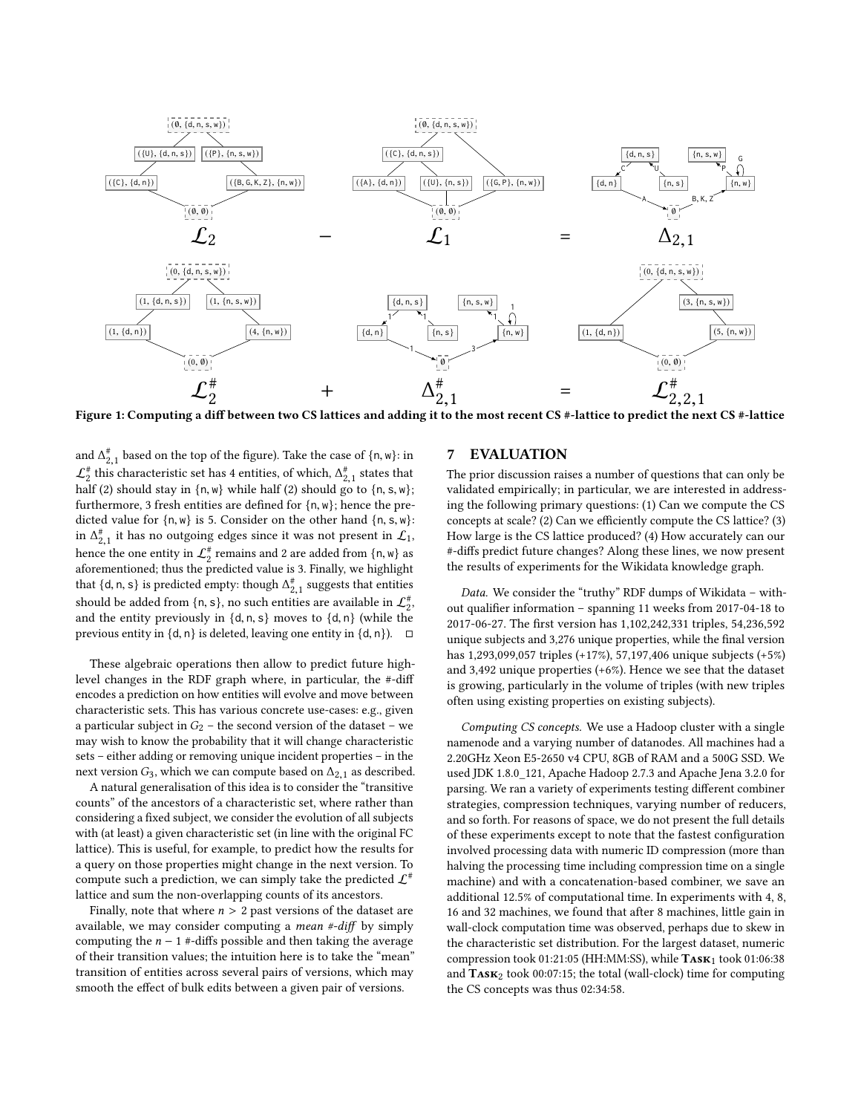<span id="page-7-1"></span>

and  $\Delta_{2,1}^*$  based on the top of the figure). Take the case of {n, w}: in  $\Delta_{2,1}^*$  this characteristic set has 4 entities, of which,  $\Delta_{2,1}^*$  states that<br>  $\Delta_{2,1}^*$  this characteristic set has 4 entities, of which,  $\Delta_{2,1}^*$  states that  $\mathcal{L}_2$  this characteristic set has 4 entities, or which,  $\mathcal{L}_{2,1}$  states that<br>half (2) should stay in {n, w} while half (2) should go to {n, s, w};<br>furthermore 3 fresh entities are defined for {n, w\} hence the pre furthermore, 3 fresh entities are defined for {n, <sup>w</sup>}; hence the predicted value for  $\{n, w\}$  is 5. Consider on the other hand  $\{n, s, w\}$ : in  $\Delta_{2,1}^{\#}$  it has no outgoing edges since it was not present in  $\mathcal{L}_1$ , If  $\Delta_{2,1}$  it has no outgoing euges since it was not present in  $\Delta_{1,2}$ <br>hence the one entity in  $\mathcal{L}_2^*$  remains and 2 are added from {n, w} as aforementioned; thus the predicted value is 3. Finally, we highlight that {d, n, s} is predicted empty: though  $\Delta_{2,1}^{\#}$  suggests that entities that  $\{a, b, s\}$  is predicted empty. though  $\Delta_{2,1}$  suggests that entities<br>should be added from  $\{n, s\}$ , no such entities are available in  $\mathcal{L}_2^*$ ,<br>and the entity previously in  $\{d, p, s\}$  moves to  $\{d, p\}$  (whil and the entity previously in  $\{d, n, s\}$  moves to  $\{d, n\}$  (while the previous entity in  $\{d, n\}$  is deleted, leaving one entity in  $\{d, n\}$ .  $\Box$ 

These algebraic operations then allow to predict future highlevel changes in the RDF graph where, in particular, the #-diff encodes a prediction on how entities will evolve and move between characteristic sets. This has various concrete use-cases: e.g., given a particular subject in  $G_2$  – the second version of the dataset – we may wish to know the probability that it will change characteristic sets – either adding or removing unique incident properties – in the next version  $G_3$ , which we can compute based on  $\Delta_{2,1}$  as described.

A natural generalisation of this idea is to consider the "transitive counts" of the ancestors of a characteristic set, where rather than considering a fixed subject, we consider the evolution of all subjects with (at least) a given characteristic set (in line with the original FC lattice). This is useful, for example, to predict how the results for a query on those properties might change in the next version. To compute such a prediction, we can simply take the predicted  $\mathcal{L}^*$ lattice and sum the non-overlapping counts of its ancestors.

Finally, note that where  $n > 2$  past versions of the dataset are available, we may consider computing a mean #-diff by simply computing the  $n - 1$  #-diffs possible and then taking the average of their transition values; the intuition here is to take the "mean" transition of entities across several pairs of versions, which may smooth the effect of bulk edits between a given pair of versions.

# <span id="page-7-0"></span>7 EVALUATION

The prior discussion raises a number of questions that can only be validated empirically; in particular, we are interested in addressing the following primary questions: (1) Can we compute the CS concepts at scale? (2) Can we efficiently compute the CS lattice? (3) How large is the CS lattice produced? (4) How accurately can our #-diffs predict future changes? Along these lines, we now present the results of experiments for the Wikidata knowledge graph.

Data. We consider the "truthy" RDF dumps of Wikidata – without qualifier information – spanning 11 weeks from 2017-04-18 to 2017-06-27. The first version has 1,102,242,331 triples, 54,236,592 unique subjects and 3,276 unique properties, while the final version has 1,293,099,057 triples (+17%), 57,197,406 unique subjects (+5%) and 3,492 unique properties (+6%). Hence we see that the dataset is growing, particularly in the volume of triples (with new triples often using existing properties on existing subjects).

Computing CS concepts. We use a Hadoop cluster with a single namenode and a varying number of datanodes. All machines had a 2.20GHz Xeon E5-2650 v4 CPU, 8GB of RAM and a 500G SSD. We used JDK 1.8.0\_121, Apache Hadoop 2.7.3 and Apache Jena 3.2.0 for parsing. We ran a variety of experiments testing different combiner strategies, compression techniques, varying number of reducers, and so forth. For reasons of space, we do not present the full details of these experiments except to note that the fastest configuration involved processing data with numeric ID compression (more than halving the processing time including compression time on a single machine) and with a concatenation-based combiner, we save an additional 12.5% of computational time. In experiments with 4, 8, 16 and 32 machines, we found that after 8 machines, little gain in wall-clock computation time was observed, perhaps due to skew in the characteristic set distribution. For the largest dataset, numeric compression took 01:21:05 (HH:MM:SS), while  $\text{Task}_1$  took 01:06:38 and  $\textbf{Task}_2$  took 00:07:15; the total (wall-clock) time for computing the CS concepts was thus 02:34:58.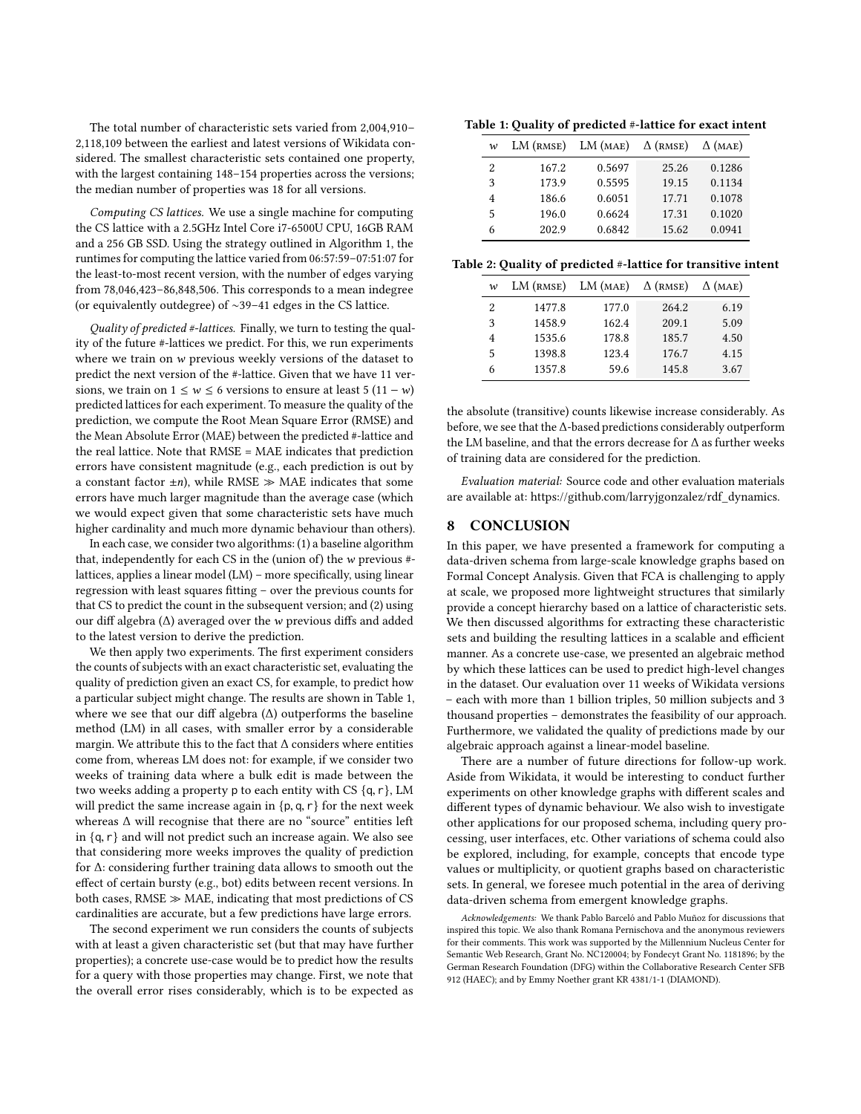The total number of characteristic sets varied from 2,004,910– 2,118,109 between the earliest and latest versions of Wikidata considered. The smallest characteristic sets contained one property, with the largest containing 148–154 properties across the versions; the median number of properties was 18 for all versions.

Computing CS lattices. We use a single machine for computing the CS lattice with a 2.5GHz Intel Core i7-6500U CPU, 16GB RAM and a 256 GB SSD. Using the strategy outlined in Algorithm [1,](#page-5-0) the runtimes for computing the lattice varied from 06:57:59–07:51:07 for the least-to-most recent version, with the number of edges varying from 78,046,423–86,848,506. This corresponds to a mean indegree (or equivalently outdegree) of ∼39–41 edges in the CS lattice.

Quality of predicted #-lattices. Finally, we turn to testing the quality of the future #-lattices we predict. For this, we run experiments where we train on w previous weekly versions of the dataset to predict the next version of the #-lattice. Given that we have 11 versions, we train on  $1 \leq w \leq 6$  versions to ensure at least  $5(11 - w)$ predicted lattices for each experiment. To measure the quality of the prediction, we compute the Root Mean Square Error (RMSE) and the Mean Absolute Error (MAE) between the predicted #-lattice and the real lattice. Note that RMSE = MAE indicates that prediction errors have consistent magnitude (e.g., each prediction is out by a constant factor  $\pm n$ ), while RMSE  $\gg$  MAE indicates that some errors have much larger magnitude than the average case (which we would expect given that some characteristic sets have much higher cardinality and much more dynamic behaviour than others).

In each case, we consider two algorithms: (1) a baseline algorithm that, independently for each CS in the (union of) the w previous # lattices, applies a linear model (LM) – more specifically, using linear regression with least squares fitting – over the previous counts for that CS to predict the count in the subsequent version; and (2) using our diff algebra (∆) averaged over the w previous diffs and added to the latest version to derive the prediction.

We then apply two experiments. The first experiment considers the counts of subjects with an exact characteristic set, evaluating the quality of prediction given an exact CS, for example, to predict how a particular subject might change. The results are shown in Table [1,](#page-8-1) where we see that our diff algebra (∆) outperforms the baseline method (LM) in all cases, with smaller error by a considerable margin. We attribute this to the fact that  $\Delta$  considers where entities come from, whereas LM does not: for example, if we consider two weeks of training data where a bulk edit is made between the two weeks adding a property <sup>p</sup> to each entity with CS {q, <sup>r</sup>}, LM will predict the same increase again in  $\{p, q, r\}$  for the next week whereas ∆ will recognise that there are no "source" entities left in {q, <sup>r</sup>} and will not predict such an increase again. We also see that considering more weeks improves the quality of prediction for ∆: considering further training data allows to smooth out the effect of certain bursty (e.g., bot) edits between recent versions. In both cases,  $RMSE \gg MAE$ , indicating that most predictions of CS cardinalities are accurate, but a few predictions have large errors.

The second experiment we run considers the counts of subjects with at least a given characteristic set (but that may have further properties); a concrete use-case would be to predict how the results for a query with those properties may change. First, we note that the overall error rises considerably, which is to be expected as

<span id="page-8-1"></span>

| Table 1: Quality of predicted #-lattice for exact intent |  |  |  |
|----------------------------------------------------------|--|--|--|
|                                                          |  |  |  |

| $\boldsymbol{w}$ | $LM$ (RMSE) | $LM$ (MAE) | $\Delta$ (RMSE) | $\Delta$ (MAE) |
|------------------|-------------|------------|-----------------|----------------|
| 2                | 167.2       | 0.5697     | 25.26           | 0.1286         |
| 3                | 173.9       | 0.5595     | 19.15           | 0.1134         |
| 4                | 186.6       | 0.6051     | 17.71           | 0.1078         |
| 5                | 196.0       | 0.6624     | 17.31           | 0.1020         |
| 6                | 202.9       | 0.6842     | 15.62           | 0.0941         |

Table 2: Quality of predicted #-lattice for transitive intent

| $\boldsymbol{w}$ | $LM$ (RMSE) | $LM$ (MAE) | $\Delta$ (RMSE) | $\Delta$ (MAE) |
|------------------|-------------|------------|-----------------|----------------|
| 2                | 1477.8      | 177.0      | 264.2           | 6.19           |
| 3                | 1458.9      | 162.4      | 209.1           | 5.09           |
| 4                | 1535.6      | 178.8      | 185.7           | 4.50           |
| 5                | 1398.8      | 123.4      | 176.7           | 4.15           |
| 6                | 1357.8      | 59.6       | 145.8           | 3.67           |

the absolute (transitive) counts likewise increase considerably. As before, we see that the ∆-based predictions considerably outperform the LM baseline, and that the errors decrease for ∆ as further weeks of training data are considered for the prediction.

Evaluation material: Source code and other evaluation materials are available at: [https://github.com/larryjgonzalez/rdf\\_dynamics.](https://github.com/larryjgonzalez/rdf_dynamics)

# <span id="page-8-0"></span>8 CONCLUSION

In this paper, we have presented a framework for computing a data-driven schema from large-scale knowledge graphs based on Formal Concept Analysis. Given that FCA is challenging to apply at scale, we proposed more lightweight structures that similarly provide a concept hierarchy based on a lattice of characteristic sets. We then discussed algorithms for extracting these characteristic sets and building the resulting lattices in a scalable and efficient manner. As a concrete use-case, we presented an algebraic method by which these lattices can be used to predict high-level changes in the dataset. Our evaluation over 11 weeks of Wikidata versions – each with more than 1 billion triples, 50 million subjects and 3 thousand properties – demonstrates the feasibility of our approach. Furthermore, we validated the quality of predictions made by our algebraic approach against a linear-model baseline.

There are a number of future directions for follow-up work. Aside from Wikidata, it would be interesting to conduct further experiments on other knowledge graphs with different scales and different types of dynamic behaviour. We also wish to investigate other applications for our proposed schema, including query processing, user interfaces, etc. Other variations of schema could also be explored, including, for example, concepts that encode type values or multiplicity, or quotient graphs based on characteristic sets. In general, we foresee much potential in the area of deriving data-driven schema from emergent knowledge graphs.

Acknowledgements: We thank Pablo Barceló and Pablo Muñoz for discussions that inspired this topic. We also thank Romana Pernischova and the anonymous reviewers for their comments. This work was supported by the Millennium Nucleus Center for Semantic Web Research, Grant No. NC120004; by Fondecyt Grant No. 1181896; by the German Research Foundation (DFG) within the Collaborative Research Center SFB 912 (HAEC); and by Emmy Noether grant KR 4381/1-1 (DIAMOND).